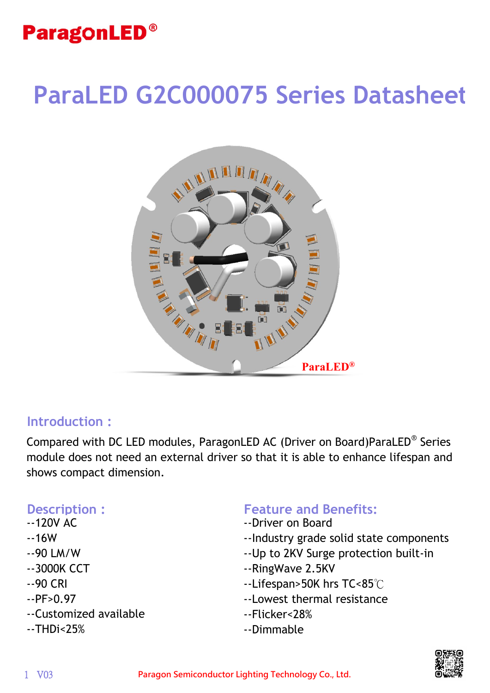# **ParaLED G2C000075 Series Datasheet**



#### **Introduction :**

Compared with DC LED modules, ParagonLED AC (Driver on Board)ParaLED® Series module does not need an external driver so that it is able to enhance lifespan and shows compact dimension.

- --120V AC
- --16W
- --90 LM/W
- --3000K CCT
- --90 CRI
- $-$ - $PF>0.97$
- --Customized available
- --THDi<25%

#### **Description : Feature and Benefits:**

- --Driver on Board
- --Industry grade solid state components
- --Up to 2KV Surge protection built-in
- --RingWave 2.5KV
- --Lifespan>50K hrs TC<85℃
- --Lowest thermal resistance
- --Flicker<28%
- --Dimmable

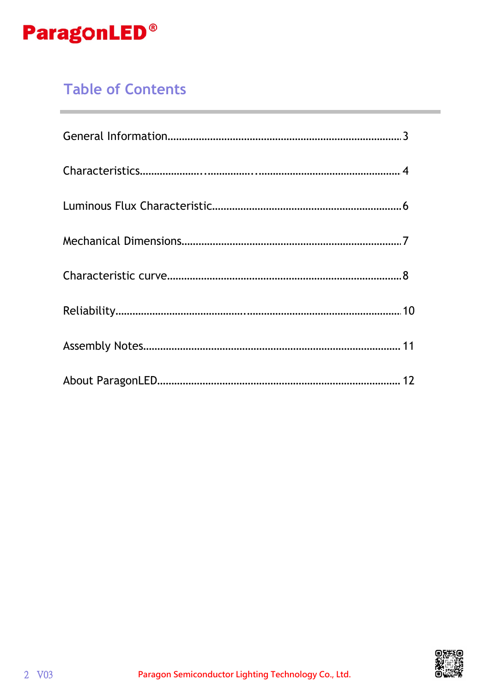

## **Table of Contents**

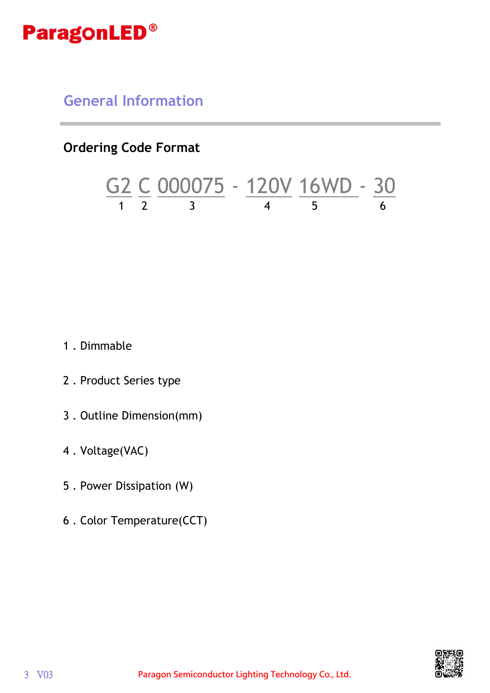

**General Information**

**Ordering Code Format**

$$
\frac{G2}{1} \frac{C}{2} \frac{000075}{3} - \frac{120V}{4} \frac{16WD}{5} - \frac{30}{6}
$$

1 . Dimmable

- 2 . Product Series type
- 3 . Outline Dimension(mm)
- 4 . Voltage(VAC)
- 5 . Power Dissipation (W)
- 6 . Color Temperature(CCT)

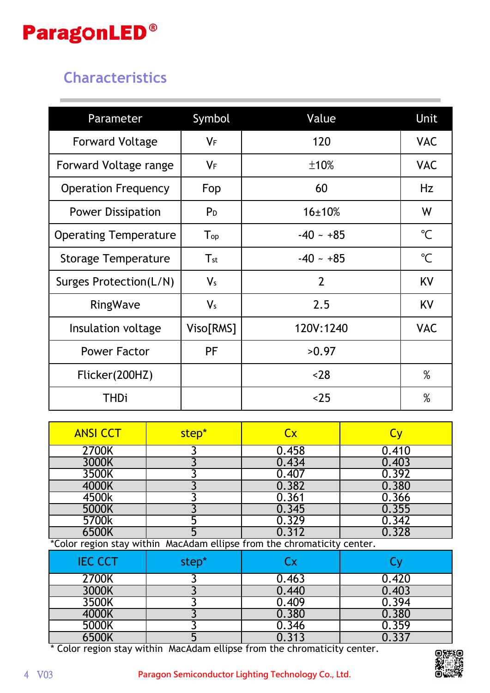

## **Characteristics**

| Parameter                    | Symbol                     | Value          | Unit                 |
|------------------------------|----------------------------|----------------|----------------------|
| <b>Forward Voltage</b>       | $V_F$                      | 120            | <b>VAC</b>           |
| Forward Voltage range        | $V_F$                      | ±10%           | <b>VAC</b>           |
| <b>Operation Frequency</b>   | Fop                        | 60             | Hz                   |
| <b>Power Dissipation</b>     | P <sub>D</sub>             | 16±10%         | W                    |
| <b>Operating Temperature</b> | $\mathsf{T}_{\mathsf{op}}$ | $-40 - +85$    | $\mathrm{C}^{\circ}$ |
| <b>Storage Temperature</b>   | $T_{\rm st}$               | $-40 - +85$    | $\mathrm{C}^{\circ}$ |
| Surges Protection(L/N)       | V <sub>s</sub>             | $\overline{2}$ | KV                   |
| RingWave                     | $V_{s}$                    | 2.5            | KV                   |
| Insulation voltage           | Viso[RMS]                  | 120V:1240      | <b>VAC</b>           |
| <b>Power Factor</b>          | PF                         | >0.97          |                      |
| Flicker(200HZ)               |                            | $28$           | $\%$                 |
| <b>THDi</b>                  |                            | $25$           | $\%$                 |

| <b>ANSI CCT</b> | step* | <b>Cx</b> | $\mathbf C$ |
|-----------------|-------|-----------|-------------|
| 2700K           |       | 0.458     | 0.410       |
| 3000K           |       | 0.434     | 0.403       |
| 3500K           |       | 0.407     | 0.392       |
| 4000K           |       | 0.382     | 0.380       |
| 4500k           |       | 0.361     | 0.366       |
| 5000K           |       | 0.345     | 0.355       |
| 5700k           |       | 0.329     | 0.342       |
| 6500K           |       |           | 0.328       |

\*Color region stay within MacAdam ellipse from the chromaticity center.

| <b>IEC CCT</b> | step* | Сx    |       |
|----------------|-------|-------|-------|
| 2700K          |       | 0.463 | 0.420 |
| 3000K          |       | 0.440 | 0.403 |
| 3500K          |       | 0.409 | 0.394 |
| 4000K          |       | 0.380 | 0.380 |
| 5000K          |       | 0.346 | 0.359 |
| 6500K          |       |       |       |

\* Color region stay within MacAdam ellipse from the chromaticity center.

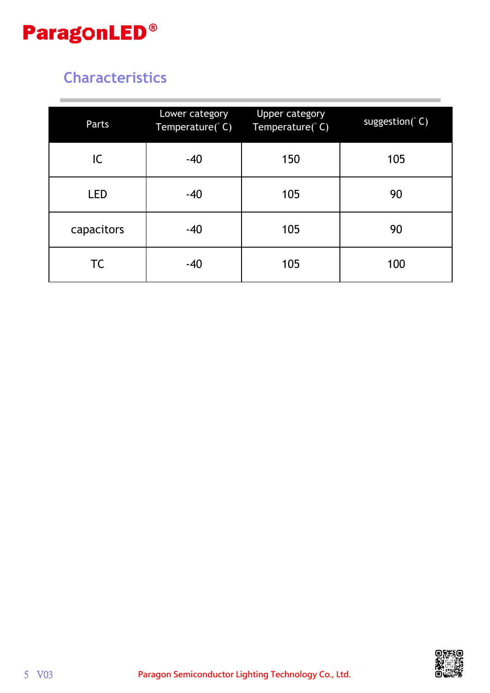

## **Characteristics**

| Parts      | Lower category<br>Temperature(°C) | <b>Upper category</b><br>Temperature(°C) | suggestion( $\degree$ C) |
|------------|-----------------------------------|------------------------------------------|--------------------------|
| IC.        | $-40$                             | 150                                      | 105                      |
| <b>LED</b> | $-40$                             | 105                                      | 90                       |
| capacitors | $-40$                             | 105                                      | 90                       |
| <b>TC</b>  | $-40$                             | 105                                      | 100                      |

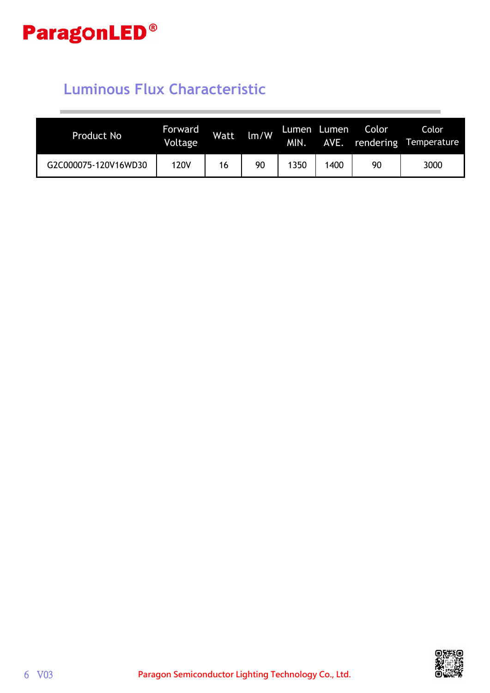

## **Luminous Flux Characteristic**

| <b>Product No</b>    | <b>Forward</b><br>Voltage | <b>Watt</b> | $\text{Im}/\text{W}$ | Lumen<br><b>MIN.</b> | Lumen<br><b>AVE.</b> | <b>Color</b> | Color<br>rendering Temperature |
|----------------------|---------------------------|-------------|----------------------|----------------------|----------------------|--------------|--------------------------------|
| G2C000075-120V16WD30 | 120V                      | 16          | 90                   | 350                  | 1400                 | 90           | 3000                           |

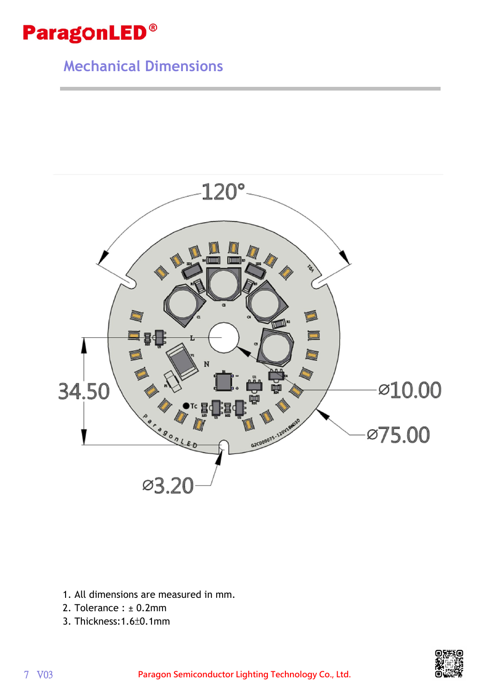

## **Mechanical Dimensions**



- 1. All dimensions are measured in mm.
- 2. Tolerance : ± 0.2mm
- 3. Thickness:1.6±0.1mm

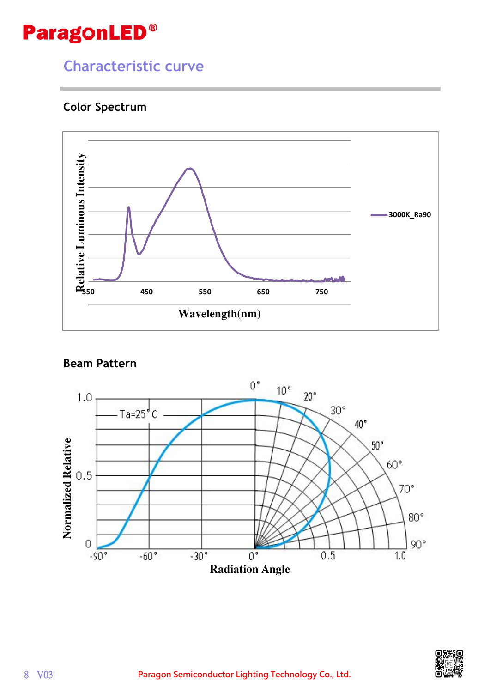## **Characteristic curve**

#### **Color Spectrum**



#### **Beam Pattern**



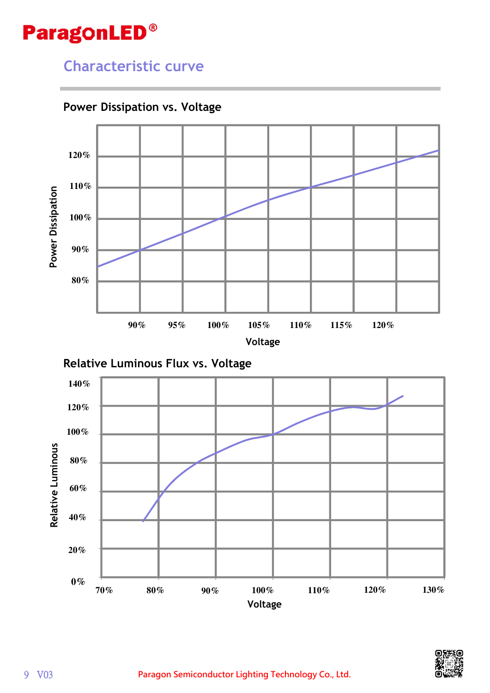## **Characteristic curve**



#### **Power Dissipation vs. Voltage**





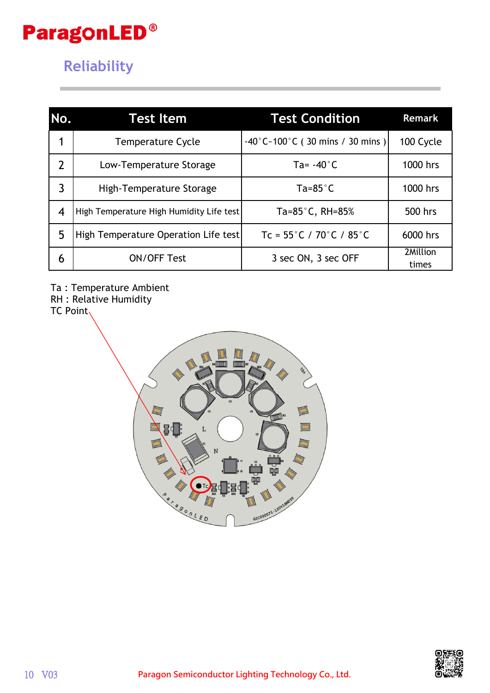## **Reliability**

| No.            | <b>Test Item</b>                         | <b>Test Condition</b>                                   | <b>Remark</b>     |
|----------------|------------------------------------------|---------------------------------------------------------|-------------------|
| 1              | <b>Temperature Cycle</b>                 | $-40^{\circ}$ C ~ 100 $^{\circ}$ C (30 mins / 30 mins ) | 100 Cycle         |
| $\overline{2}$ | Low-Temperature Storage                  | Ta= $-40^{\circ}$ C                                     | 1000 hrs          |
| 3              | High-Temperature Storage                 | $Ta = 85^\circ C$                                       | 1000 hrs          |
| 4              | High Temperature High Humidity Life test | Ta= $85^{\circ}$ C, RH= $85\%$                          | 500 hrs           |
| 5              | High Temperature Operation Life test     | $Tc = 55^{\circ}C / 70^{\circ}C / 85^{\circ}C$          | 6000 hrs          |
| 6              | <b>ON/OFF Test</b>                       | 3 sec ON, 3 sec OFF                                     | 2Million<br>times |

Ta : Temperature Ambient

RH : Relative Humidity

TC Point



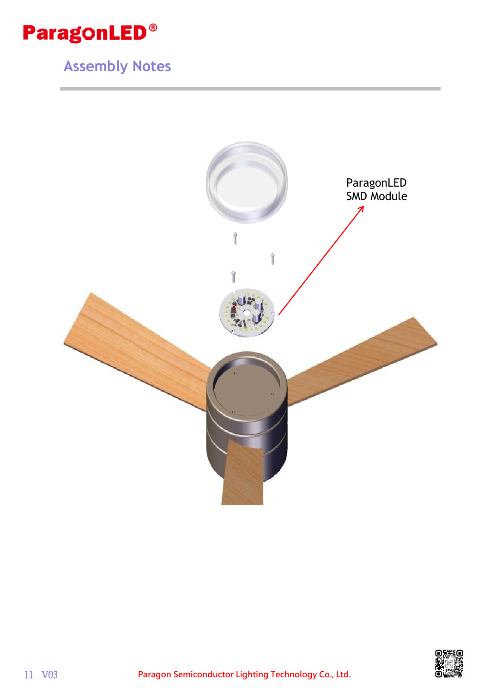

# **Assembly Notes**